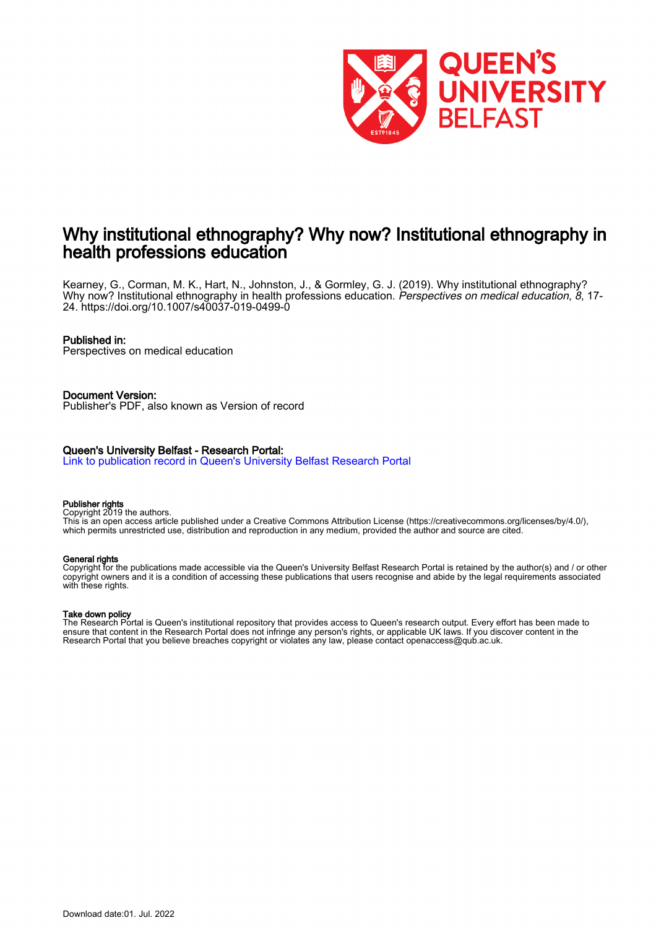

## Why institutional ethnography? Why now? Institutional ethnography in health professions education

Kearney, G., Corman, M. K., Hart, N., Johnston, J., & Gormley, G. J. (2019). Why institutional ethnography? Why now? Institutional ethnography in health professions education. Perspectives on medical education, 8, 17-24. <https://doi.org/10.1007/s40037-019-0499-0>

#### Published in:

Perspectives on medical education

Document Version: Publisher's PDF, also known as Version of record

#### Queen's University Belfast - Research Portal:

[Link to publication record in Queen's University Belfast Research Portal](https://pure.qub.ac.uk/en/publications/6d9d3706-a3fc-47d6-9725-ce63887b0f99)

#### Publisher rights

Copyright 2019 the authors.

This is an open access article published under a Creative Commons Attribution License (https://creativecommons.org/licenses/by/4.0/), which permits unrestricted use, distribution and reproduction in any medium, provided the author and source are cited.

#### General rights

Copyright for the publications made accessible via the Queen's University Belfast Research Portal is retained by the author(s) and / or other copyright owners and it is a condition of accessing these publications that users recognise and abide by the legal requirements associated with these rights.

#### Take down policy

The Research Portal is Queen's institutional repository that provides access to Queen's research output. Every effort has been made to ensure that content in the Research Portal does not infringe any person's rights, or applicable UK laws. If you discover content in the Research Portal that you believe breaches copyright or violates any law, please contact openaccess@qub.ac.uk.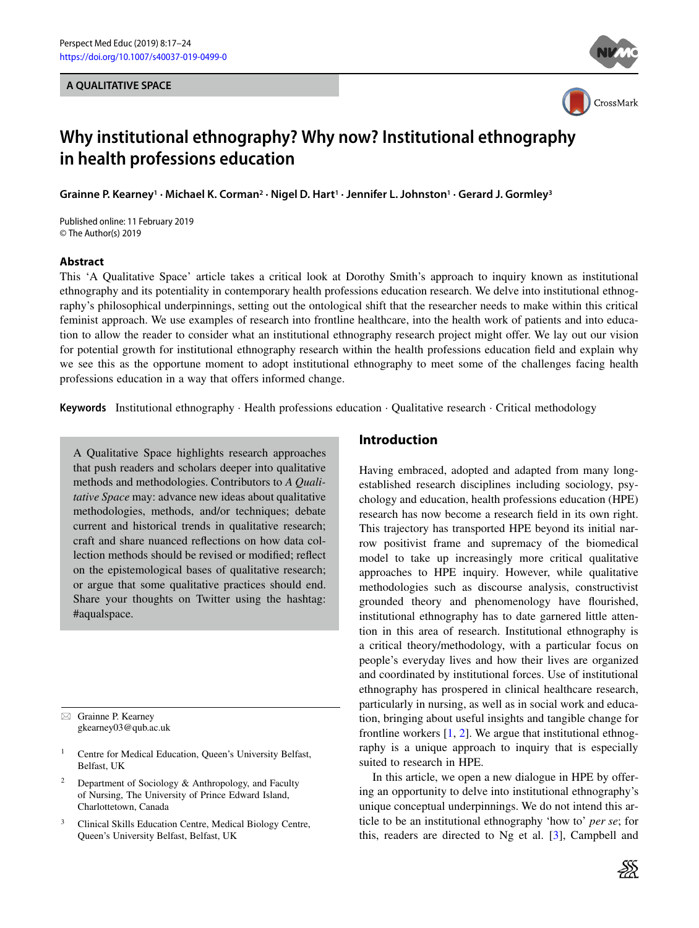#### **A QUALITATIVE SPACE**





# **Why institutional ethnography? Why now? Institutional ethnography in health professions education**

**Grainne P. Kearney1 · Michael K. Corman2 · Nigel D. Hart1 · Jennifer L. Johnston1 · Gerard J. Gormley3**

Published online: 11 February 2019 © The Author(s) 2019

#### **Abstract**

This 'A Qualitative Space' article takes a critical look at Dorothy Smith's approach to inquiry known as institutional ethnography and its potentiality in contemporary health professions education research. We delve into institutional ethnography's philosophical underpinnings, setting out the ontological shift that the researcher needs to make within this critical feminist approach. We use examples of research into frontline healthcare, into the health work of patients and into education to allow the reader to consider what an institutional ethnography research project might offer. We lay out our vision for potential growth for institutional ethnography research within the health professions education field and explain why we see this as the opportune moment to adopt institutional ethnography to meet some of the challenges facing health professions education in a way that offers informed change.

**Keywords** Institutional ethnography · Health professions education · Qualitative research · Critical methodology

A Qualitative Space highlights research approaches that push readers and scholars deeper into qualitative methods and methodologies. Contributors to *A Qualitative Space* may: advance new ideas about qualitative methodologies, methods, and/or techniques; debate current and historical trends in qualitative research; craft and share nuanced reflections on how data collection methods should be revised or modified; reflect on the epistemological bases of qualitative research; or argue that some qualitative practices should end. Share your thoughts on Twitter using the hashtag: #aqualspace.

 $\boxtimes$  Grainne P. Kearney gkearney03@qub.ac.uk

- <sup>1</sup> Centre for Medical Education, Queen's University Belfast, Belfast, UK
- <sup>2</sup> Department of Sociology  $\&$  Anthropology, and Faculty of Nursing, The University of Prince Edward Island, Charlottetown, Canada
- <sup>3</sup> Clinical Skills Education Centre, Medical Biology Centre, Queen's University Belfast, Belfast, UK

### **Introduction**

Having embraced, adopted and adapted from many longestablished research disciplines including sociology, psychology and education, health professions education (HPE) research has now become a research field in its own right. This trajectory has transported HPE beyond its initial narrow positivist frame and supremacy of the biomedical model to take up increasingly more critical qualitative approaches to HPE inquiry. However, while qualitative methodologies such as discourse analysis, constructivist grounded theory and phenomenology have flourished, institutional ethnography has to date garnered little attention in this area of research. Institutional ethnography is a critical theory/methodology, with a particular focus on people's everyday lives and how their lives are organized and coordinated by institutional forces. Use of institutional ethnography has prospered in clinical healthcare research, particularly in nursing, as well as in social work and education, bringing about useful insights and tangible change for frontline workers [\[1,](#page-7-0) [2\]](#page-7-1). We argue that institutional ethnography is a unique approach to inquiry that is especially suited to research in HPE.

In this article, we open a new dialogue in HPE by offering an opportunity to delve into institutional ethnography's unique conceptual underpinnings. We do not intend this article to be an institutional ethnography 'how to' *per se*; for this, readers are directed to Ng et al. [\[3\]](#page-7-2), Campbell and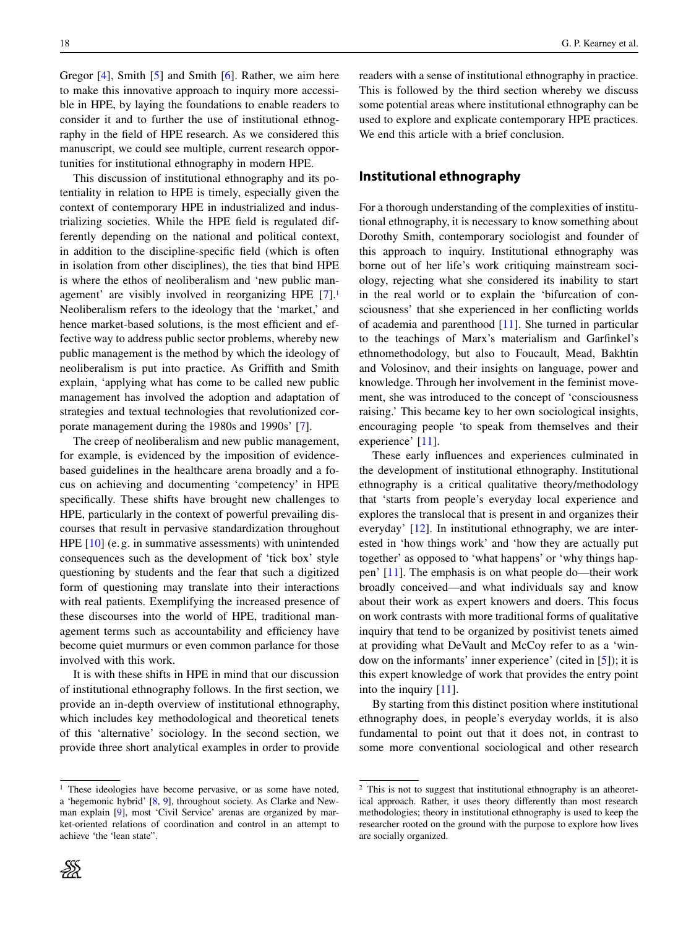Gregor [\[4\]](#page-7-3), Smith [\[5\]](#page-7-4) and Smith [\[6\]](#page-7-5). Rather, we aim here to make this innovative approach to inquiry more accessible in HPE, by laying the foundations to enable readers to consider it and to further the use of institutional ethnography in the field of HPE research. As we considered this manuscript, we could see multiple, current research opportunities for institutional ethnography in modern HPE.

This discussion of institutional ethnography and its potentiality in relation to HPE is timely, especially given the context of contemporary HPE in industrialized and industrializing societies. While the HPE field is regulated differently depending on the national and political context, in addition to the discipline-specific field (which is often in isolation from other disciplines), the ties that bind HPE is where the ethos of neoliberalism and 'new public man-agement' are visibly involved in reorganizing HPE [\[7\]](#page-7-6).<sup>1</sup> Neoliberalism refers to the ideology that the 'market,' and hence market-based solutions, is the most efficient and effective way to address public sector problems, whereby new public management is the method by which the ideology of neoliberalism is put into practice. As Griffith and Smith explain, 'applying what has come to be called new public management has involved the adoption and adaptation of strategies and textual technologies that revolutionized corporate management during the 1980s and 1990s' [\[7\]](#page-7-6).

The creep of neoliberalism and new public management, for example, is evidenced by the imposition of evidencebased guidelines in the healthcare arena broadly and a focus on achieving and documenting 'competency' in HPE specifically. These shifts have brought new challenges to HPE, particularly in the context of powerful prevailing discourses that result in pervasive standardization throughout HPE [\[10\]](#page-7-7) (e.g. in summative assessments) with unintended consequences such as the development of 'tick box' style questioning by students and the fear that such a digitized form of questioning may translate into their interactions with real patients. Exemplifying the increased presence of these discourses into the world of HPE, traditional management terms such as accountability and efficiency have become quiet murmurs or even common parlance for those involved with this work.

It is with these shifts in HPE in mind that our discussion of institutional ethnography follows. In the first section, we provide an in-depth overview of institutional ethnography, which includes key methodological and theoretical tenets of this 'alternative' sociology. In the second section, we provide three short analytical examples in order to provide readers with a sense of institutional ethnography in practice. This is followed by the third section whereby we discuss some potential areas where institutional ethnography can be used to explore and explicate contemporary HPE practices. We end this article with a brief conclusion.

## **Institutional ethnography**

For a thorough understanding of the complexities of institutional ethnography, it is necessary to know something about Dorothy Smith, contemporary sociologist and founder of this approach to inquiry. Institutional ethnography was borne out of her life's work critiquing mainstream sociology, rejecting what she considered its inability to start in the real world or to explain the 'bifurcation of consciousness' that she experienced in her conflicting worlds of academia and parenthood [\[11\]](#page-7-10). She turned in particular to the teachings of Marx's materialism and Garfinkel's ethnomethodology, but also to Foucault, Mead, Bakhtin and Volosinov, and their insights on language, power and knowledge. Through her involvement in the feminist movement, she was introduced to the concept of 'consciousness raising.' This became key to her own sociological insights, encouraging people 'to speak from themselves and their experience' [\[11\]](#page-7-10).

These early influences and experiences culminated in the development of institutional ethnography. Institutional ethnography is a critical qualitative theory/methodology that 'starts from people's everyday local experience and explores the translocal that is present in and organizes their everyday' [\[12\]](#page-7-11). In institutional ethnography, we are interested in 'how things work' and 'how they are actually put together' as opposed to 'what happens' or 'why things happen' [\[11\]](#page-7-10). The emphasis is on what people do—their work broadly conceived—and what individuals say and know about their work as expert knowers and doers. This focus on work contrasts with more traditional forms of qualitative inquiry that tend to be organized by positivist tenets aimed at providing what DeVault and McCoy refer to as a 'window on the informants' inner experience' (cited in [\[5\]](#page-7-4)); it is this expert knowledge of work that provides the entry point into the inquiry [\[11\]](#page-7-10).

By starting from this distinct position where institutional ethnography does, in people's everyday worlds, it is also fundamental to point out that it does not, in contrast to some more conventional sociological and other research

<span id="page-2-0"></span><sup>&</sup>lt;sup>1</sup> These ideologies have become pervasive, or as some have noted, a 'hegemonic hybrid' [\[8,](#page-7-8) [9\]](#page-7-9), throughout society. As Clarke and Newman explain [\[9\]](#page-7-9), most 'Civil Service' arenas are organized by market-oriented relations of coordination and control in an attempt to achieve 'the 'lean state".

<span id="page-2-1"></span><sup>&</sup>lt;sup>2</sup> This is not to suggest that institutional ethnography is an atheoretical approach. Rather, it uses theory differently than most research methodologies; theory in institutional ethnography is used to keep the researcher rooted on the ground with the purpose to explore how lives are socially organized.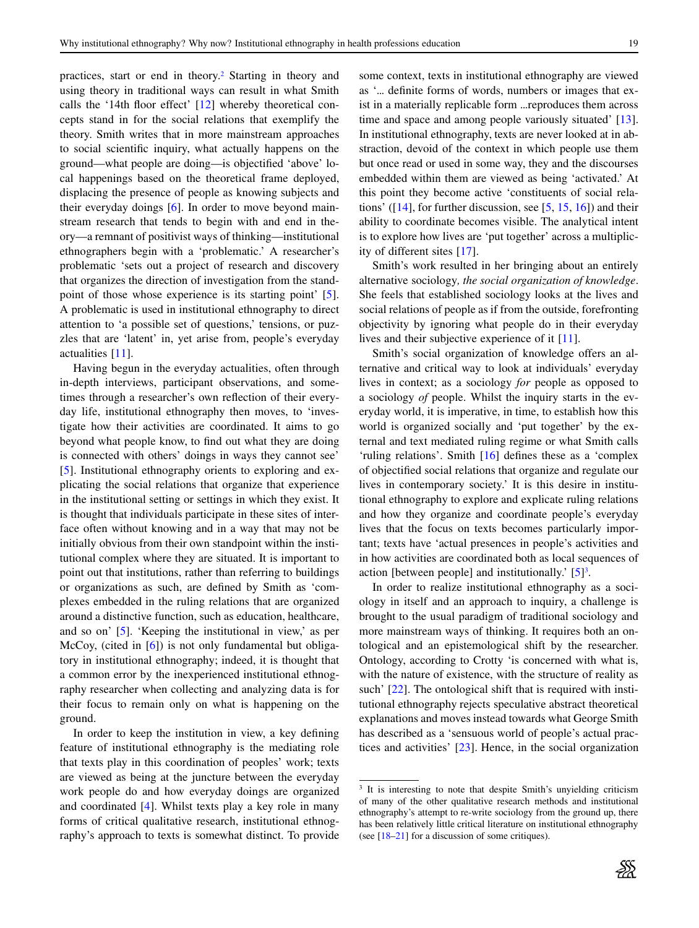practices, start or end in theory[.2](#page-2-1) Starting in theory and using theory in traditional ways can result in what Smith calls the '14th floor effect' [\[12\]](#page-7-11) whereby theoretical concepts stand in for the social relations that exemplify the theory. Smith writes that in more mainstream approaches to social scientific inquiry, what actually happens on the ground—what people are doing—is objectified 'above' local happenings based on the theoretical frame deployed, displacing the presence of people as knowing subjects and their everyday doings [\[6\]](#page-7-5). In order to move beyond mainstream research that tends to begin with and end in theory—a remnant of positivist ways of thinking—institutional ethnographers begin with a 'problematic.' A researcher's problematic 'sets out a project of research and discovery that organizes the direction of investigation from the standpoint of those whose experience is its starting point' [\[5\]](#page-7-4). A problematic is used in institutional ethnography to direct attention to 'a possible set of questions,' tensions, or puzzles that are 'latent' in, yet arise from, people's everyday actualities [\[11\]](#page-7-10).

Having begun in the everyday actualities, often through in-depth interviews, participant observations, and sometimes through a researcher's own reflection of their everyday life, institutional ethnography then moves, to 'investigate how their activities are coordinated. It aims to go beyond what people know, to find out what they are doing is connected with others' doings in ways they cannot see' [\[5\]](#page-7-4). Institutional ethnography orients to exploring and explicating the social relations that organize that experience in the institutional setting or settings in which they exist. It is thought that individuals participate in these sites of interface often without knowing and in a way that may not be initially obvious from their own standpoint within the institutional complex where they are situated. It is important to point out that institutions, rather than referring to buildings or organizations as such, are defined by Smith as 'complexes embedded in the ruling relations that are organized around a distinctive function, such as education, healthcare, and so on' [\[5\]](#page-7-4). 'Keeping the institutional in view,' as per McCoy, (cited in [\[6\]](#page-7-5)) is not only fundamental but obligatory in institutional ethnography; indeed, it is thought that a common error by the inexperienced institutional ethnography researcher when collecting and analyzing data is for their focus to remain only on what is happening on the ground.

In order to keep the institution in view, a key defining feature of institutional ethnography is the mediating role that texts play in this coordination of peoples' work; texts are viewed as being at the juncture between the everyday work people do and how everyday doings are organized and coordinated [\[4\]](#page-7-3). Whilst texts play a key role in many forms of critical qualitative research, institutional ethnography's approach to texts is somewhat distinct. To provide some context, texts in institutional ethnography are viewed as '... definite forms of words, numbers or images that exist in a materially replicable form ...reproduces them across time and space and among people variously situated' [\[13\]](#page-7-12). In institutional ethnography, texts are never looked at in abstraction, devoid of the context in which people use them but once read or used in some way, they and the discourses embedded within them are viewed as being 'activated.' At this point they become active 'constituents of social relations' ([\[14\]](#page-8-0), for further discussion, see [\[5,](#page-7-4) [15,](#page-8-1) [16\]](#page-8-2)) and their ability to coordinate becomes visible. The analytical intent is to explore how lives are 'put together' across a multiplicity of different sites [\[17\]](#page-8-3).

Smith's work resulted in her bringing about an entirely alternative sociology*, the social organization of knowledge*. She feels that established sociology looks at the lives and social relations of people as if from the outside, forefronting objectivity by ignoring what people do in their everyday lives and their subjective experience of it [\[11\]](#page-7-10).

Smith's social organization of knowledge offers an alternative and critical way to look at individuals' everyday lives in context; as a sociology *for* people as opposed to a sociology *of* people. Whilst the inquiry starts in the everyday world, it is imperative, in time, to establish how this world is organized socially and 'put together' by the external and text mediated ruling regime or what Smith calls 'ruling relations'. Smith [\[16\]](#page-8-2) defines these as a 'complex of objectified social relations that organize and regulate our lives in contemporary society.' It is this desire in institutional ethnography to explore and explicate ruling relations and how they organize and coordinate people's everyday lives that the focus on texts becomes particularly important; texts have 'actual presences in people's activities and in how activities are coordinated both as local sequences of action [between people] and institutionally.'  $[5]$  $[5]$ <sup>3</sup>.

In order to realize institutional ethnography as a sociology in itself and an approach to inquiry, a challenge is brought to the usual paradigm of traditional sociology and more mainstream ways of thinking. It requires both an ontological and an epistemological shift by the researcher. Ontology, according to Crotty 'is concerned with what is, with the nature of existence, with the structure of reality as such' [\[22\]](#page-8-4). The ontological shift that is required with institutional ethnography rejects speculative abstract theoretical explanations and moves instead towards what George Smith has described as a 'sensuous world of people's actual practices and activities' [\[23\]](#page-8-5). Hence, in the social organization

<span id="page-3-0"></span><sup>&</sup>lt;sup>3</sup> It is interesting to note that despite Smith's unyielding criticism of many of the other qualitative research methods and institutional ethnography's attempt to re-write sociology from the ground up, there has been relatively little critical literature on institutional ethnography (see [\[18](#page-8-6)[–21\]](#page-8-7) for a discussion of some critiques).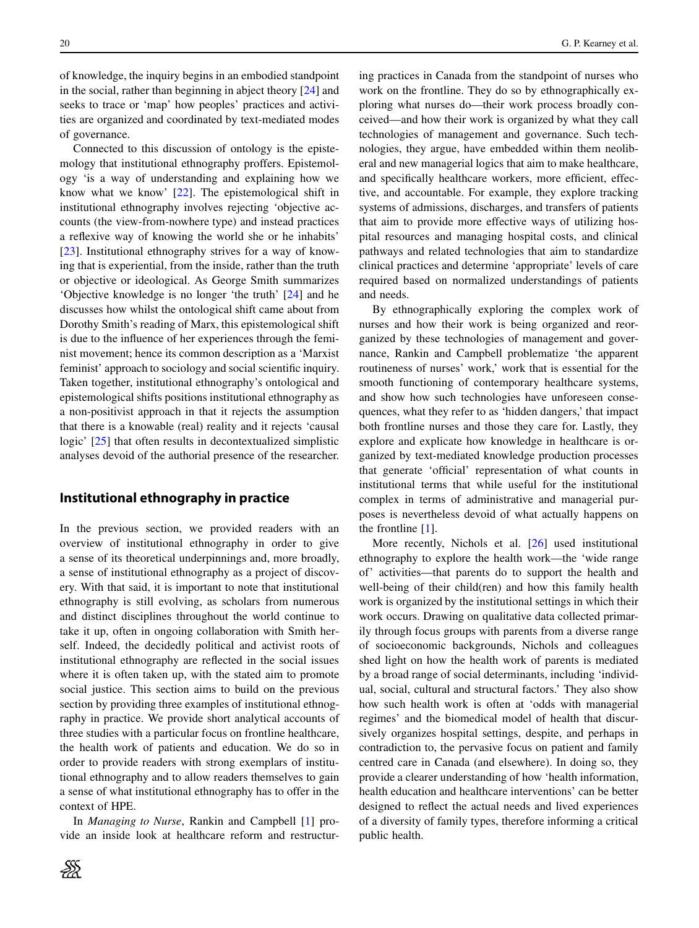of knowledge, the inquiry begins in an embodied standpoint in the social, rather than beginning in abject theory [\[24\]](#page-8-8) and seeks to trace or 'map' how peoples' practices and activities are organized and coordinated by text-mediated modes of governance.

Connected to this discussion of ontology is the epistemology that institutional ethnography proffers. Epistemology 'is a way of understanding and explaining how we know what we know' [\[22\]](#page-8-4). The epistemological shift in institutional ethnography involves rejecting 'objective accounts (the view-from-nowhere type) and instead practices a reflexive way of knowing the world she or he inhabits' [\[23\]](#page-8-5). Institutional ethnography strives for a way of knowing that is experiential, from the inside, rather than the truth or objective or ideological. As George Smith summarizes 'Objective knowledge is no longer 'the truth' [\[24\]](#page-8-8) and he discusses how whilst the ontological shift came about from Dorothy Smith's reading of Marx, this epistemological shift is due to the influence of her experiences through the feminist movement; hence its common description as a 'Marxist feminist' approach to sociology and social scientific inquiry. Taken together, institutional ethnography's ontological and epistemological shifts positions institutional ethnography as a non-positivist approach in that it rejects the assumption that there is a knowable (real) reality and it rejects 'causal logic' [\[25\]](#page-8-9) that often results in decontextualized simplistic analyses devoid of the authorial presence of the researcher.

## **Institutional ethnography in practice**

In the previous section, we provided readers with an overview of institutional ethnography in order to give a sense of its theoretical underpinnings and, more broadly, a sense of institutional ethnography as a project of discovery. With that said, it is important to note that institutional ethnography is still evolving, as scholars from numerous and distinct disciplines throughout the world continue to take it up, often in ongoing collaboration with Smith herself. Indeed, the decidedly political and activist roots of institutional ethnography are reflected in the social issues where it is often taken up, with the stated aim to promote social justice. This section aims to build on the previous section by providing three examples of institutional ethnography in practice. We provide short analytical accounts of three studies with a particular focus on frontline healthcare, the health work of patients and education. We do so in order to provide readers with strong exemplars of institutional ethnography and to allow readers themselves to gain a sense of what institutional ethnography has to offer in the context of HPE.

In *Managing to Nurse*, Rankin and Campbell [\[1\]](#page-7-0) provide an inside look at healthcare reform and restructuring practices in Canada from the standpoint of nurses who work on the frontline. They do so by ethnographically exploring what nurses do—their work process broadly conceived—and how their work is organized by what they call technologies of management and governance. Such technologies, they argue, have embedded within them neoliberal and new managerial logics that aim to make healthcare, and specifically healthcare workers, more efficient, effective, and accountable. For example, they explore tracking systems of admissions, discharges, and transfers of patients that aim to provide more effective ways of utilizing hospital resources and managing hospital costs, and clinical pathways and related technologies that aim to standardize clinical practices and determine 'appropriate' levels of care required based on normalized understandings of patients and needs.

By ethnographically exploring the complex work of nurses and how their work is being organized and reorganized by these technologies of management and governance, Rankin and Campbell problematize 'the apparent routineness of nurses' work,' work that is essential for the smooth functioning of contemporary healthcare systems, and show how such technologies have unforeseen consequences, what they refer to as 'hidden dangers,' that impact both frontline nurses and those they care for. Lastly, they explore and explicate how knowledge in healthcare is organized by text-mediated knowledge production processes that generate 'official' representation of what counts in institutional terms that while useful for the institutional complex in terms of administrative and managerial purposes is nevertheless devoid of what actually happens on the frontline [\[1\]](#page-7-0).

More recently, Nichols et al. [\[26\]](#page-8-10) used institutional ethnography to explore the health work—the 'wide range of' activities—that parents do to support the health and well-being of their child(ren) and how this family health work is organized by the institutional settings in which their work occurs. Drawing on qualitative data collected primarily through focus groups with parents from a diverse range of socioeconomic backgrounds, Nichols and colleagues shed light on how the health work of parents is mediated by a broad range of social determinants, including 'individual, social, cultural and structural factors.' They also show how such health work is often at 'odds with managerial regimes' and the biomedical model of health that discursively organizes hospital settings, despite, and perhaps in contradiction to, the pervasive focus on patient and family centred care in Canada (and elsewhere). In doing so, they provide a clearer understanding of how 'health information, health education and healthcare interventions' can be better designed to reflect the actual needs and lived experiences of a diversity of family types, therefore informing a critical public health.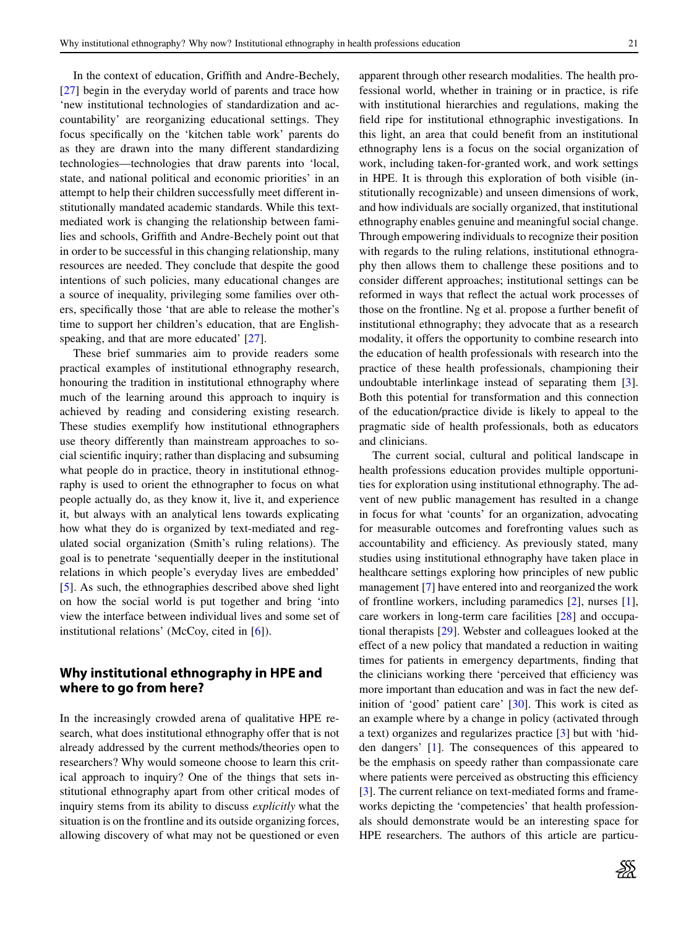In the context of education, Griffith and Andre-Bechely, [\[27\]](#page-8-11) begin in the everyday world of parents and trace how 'new institutional technologies of standardization and accountability' are reorganizing educational settings. They focus specifically on the 'kitchen table work' parents do as they are drawn into the many different standardizing technologies—technologies that draw parents into 'local, state, and national political and economic priorities' in an attempt to help their children successfully meet different institutionally mandated academic standards. While this textmediated work is changing the relationship between families and schools, Griffith and Andre-Bechely point out that in order to be successful in this changing relationship, many resources are needed. They conclude that despite the good intentions of such policies, many educational changes are a source of inequality, privileging some families over others, specifically those 'that are able to release the mother's time to support her children's education, that are English-speaking, and that are more educated' [\[27\]](#page-8-11).

These brief summaries aim to provide readers some practical examples of institutional ethnography research, honouring the tradition in institutional ethnography where much of the learning around this approach to inquiry is achieved by reading and considering existing research. These studies exemplify how institutional ethnographers use theory differently than mainstream approaches to social scientific inquiry; rather than displacing and subsuming what people do in practice, theory in institutional ethnography is used to orient the ethnographer to focus on what people actually do, as they know it, live it, and experience it, but always with an analytical lens towards explicating how what they do is organized by text-mediated and regulated social organization (Smith's ruling relations). The goal is to penetrate 'sequentially deeper in the institutional relations in which people's everyday lives are embedded' [\[5\]](#page-7-4). As such, the ethnographies described above shed light on how the social world is put together and bring 'into view the interface between individual lives and some set of institutional relations' (McCoy, cited in [\[6\]](#page-7-5)).

## **Why institutional ethnography in HPE and where to go from here?**

In the increasingly crowded arena of qualitative HPE research, what does institutional ethnography offer that is not already addressed by the current methods/theories open to researchers? Why would someone choose to learn this critical approach to inquiry? One of the things that sets institutional ethnography apart from other critical modes of inquiry stems from its ability to discuss *explicitly* what the situation is on the frontline and its outside organizing forces, allowing discovery of what may not be questioned or even apparent through other research modalities. The health professional world, whether in training or in practice, is rife with institutional hierarchies and regulations, making the field ripe for institutional ethnographic investigations. In this light, an area that could benefit from an institutional ethnography lens is a focus on the social organization of work, including taken-for-granted work, and work settings in HPE. It is through this exploration of both visible (institutionally recognizable) and unseen dimensions of work, and how individuals are socially organized, that institutional ethnography enables genuine and meaningful social change. Through empowering individuals to recognize their position with regards to the ruling relations, institutional ethnography then allows them to challenge these positions and to consider different approaches; institutional settings can be reformed in ways that reflect the actual work processes of those on the frontline. Ng et al. propose a further benefit of institutional ethnography; they advocate that as a research modality, it offers the opportunity to combine research into the education of health professionals with research into the practice of these health professionals, championing their undoubtable interlinkage instead of separating them [\[3\]](#page-7-2). Both this potential for transformation and this connection of the education/practice divide is likely to appeal to the pragmatic side of health professionals, both as educators and clinicians.

The current social, cultural and political landscape in health professions education provides multiple opportunities for exploration using institutional ethnography. The advent of new public management has resulted in a change in focus for what 'counts' for an organization, advocating for measurable outcomes and forefronting values such as accountability and efficiency. As previously stated, many studies using institutional ethnography have taken place in healthcare settings exploring how principles of new public management [\[7\]](#page-7-6) have entered into and reorganized the work of frontline workers, including paramedics [\[2\]](#page-7-1), nurses [\[1\]](#page-7-0), care workers in long-term care facilities [\[28\]](#page-8-12) and occupational therapists [\[29\]](#page-8-13). Webster and colleagues looked at the effect of a new policy that mandated a reduction in waiting times for patients in emergency departments, finding that the clinicians working there 'perceived that efficiency was more important than education and was in fact the new definition of 'good' patient care' [\[30\]](#page-8-14). This work is cited as an example where by a change in policy (activated through a text) organizes and regularizes practice [\[3\]](#page-7-2) but with 'hidden dangers' [\[1\]](#page-7-0). The consequences of this appeared to be the emphasis on speedy rather than compassionate care where patients were perceived as obstructing this efficiency [\[3\]](#page-7-2). The current reliance on text-mediated forms and frameworks depicting the 'competencies' that health professionals should demonstrate would be an interesting space for HPE researchers. The authors of this article are particu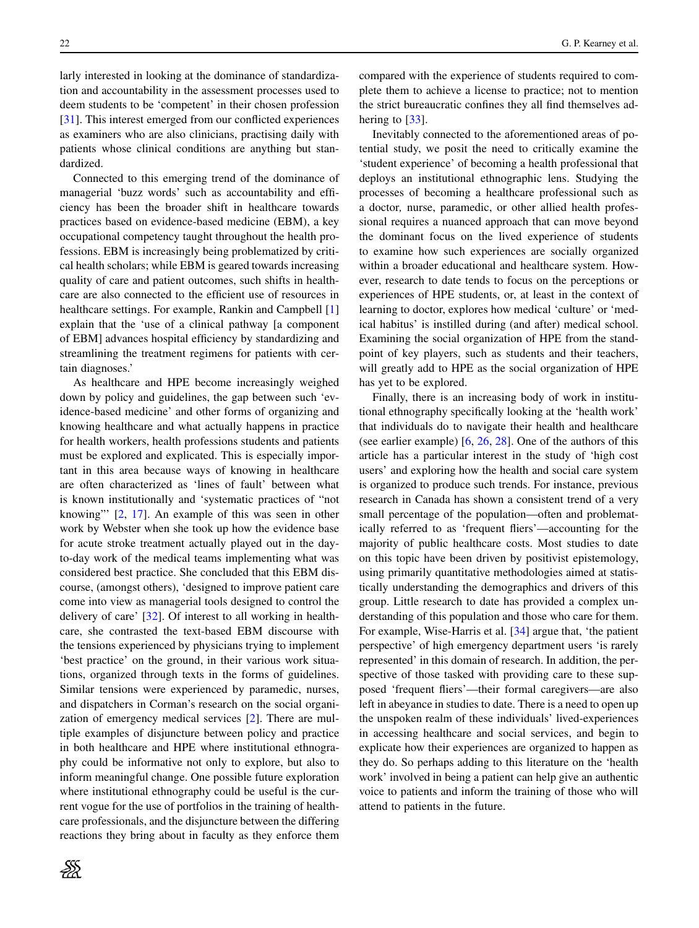larly interested in looking at the dominance of standardization and accountability in the assessment processes used to deem students to be 'competent' in their chosen profession [\[31\]](#page-8-15). This interest emerged from our conflicted experiences as examiners who are also clinicians, practising daily with patients whose clinical conditions are anything but standardized.

Connected to this emerging trend of the dominance of managerial 'buzz words' such as accountability and efficiency has been the broader shift in healthcare towards practices based on evidence-based medicine (EBM), a key occupational competency taught throughout the health professions. EBM is increasingly being problematized by critical health scholars; while EBM is geared towards increasing quality of care and patient outcomes, such shifts in healthcare are also connected to the efficient use of resources in healthcare settings. For example, Rankin and Campbell [\[1\]](#page-7-0) explain that the 'use of a clinical pathway [a component of EBM] advances hospital efficiency by standardizing and streamlining the treatment regimens for patients with certain diagnoses.'

As healthcare and HPE become increasingly weighed down by policy and guidelines, the gap between such 'evidence-based medicine' and other forms of organizing and knowing healthcare and what actually happens in practice for health workers, health professions students and patients must be explored and explicated. This is especially important in this area because ways of knowing in healthcare are often characterized as 'lines of fault' between what is known institutionally and 'systematic practices of "not knowing"' [\[2,](#page-7-1) [17\]](#page-8-3). An example of this was seen in other work by Webster when she took up how the evidence base for acute stroke treatment actually played out in the dayto-day work of the medical teams implementing what was considered best practice. She concluded that this EBM discourse, (amongst others), 'designed to improve patient care come into view as managerial tools designed to control the delivery of care' [\[32\]](#page-8-16). Of interest to all working in healthcare, she contrasted the text-based EBM discourse with the tensions experienced by physicians trying to implement 'best practice' on the ground, in their various work situations, organized through texts in the forms of guidelines. Similar tensions were experienced by paramedic, nurses, and dispatchers in Corman's research on the social organization of emergency medical services [\[2\]](#page-7-1). There are multiple examples of disjuncture between policy and practice in both healthcare and HPE where institutional ethnography could be informative not only to explore, but also to inform meaningful change. One possible future exploration where institutional ethnography could be useful is the current vogue for the use of portfolios in the training of healthcare professionals, and the disjuncture between the differing reactions they bring about in faculty as they enforce them compared with the experience of students required to complete them to achieve a license to practice; not to mention the strict bureaucratic confines they all find themselves adhering to [\[33\]](#page-8-17).

Inevitably connected to the aforementioned areas of potential study, we posit the need to critically examine the 'student experience' of becoming a health professional that deploys an institutional ethnographic lens. Studying the processes of becoming a healthcare professional such as a doctor*,* nurse, paramedic, or other allied health professional requires a nuanced approach that can move beyond the dominant focus on the lived experience of students to examine how such experiences are socially organized within a broader educational and healthcare system. However, research to date tends to focus on the perceptions or experiences of HPE students, or, at least in the context of learning to doctor, explores how medical 'culture' or 'medical habitus' is instilled during (and after) medical school. Examining the social organization of HPE from the standpoint of key players, such as students and their teachers, will greatly add to HPE as the social organization of HPE has yet to be explored.

Finally, there is an increasing body of work in institutional ethnography specifically looking at the 'health work' that individuals do to navigate their health and healthcare (see earlier example) [\[6,](#page-7-5) [26,](#page-8-10) [28\]](#page-8-12). One of the authors of this article has a particular interest in the study of 'high cost users' and exploring how the health and social care system is organized to produce such trends. For instance, previous research in Canada has shown a consistent trend of a very small percentage of the population—often and problematically referred to as 'frequent fliers'—accounting for the majority of public healthcare costs. Most studies to date on this topic have been driven by positivist epistemology, using primarily quantitative methodologies aimed at statistically understanding the demographics and drivers of this group. Little research to date has provided a complex understanding of this population and those who care for them. For example, Wise-Harris et al. [\[34\]](#page-8-18) argue that, 'the patient perspective' of high emergency department users 'is rarely represented' in this domain of research. In addition, the perspective of those tasked with providing care to these supposed 'frequent fliers'—their formal caregivers—are also left in abeyance in studies to date. There is a need to open up the unspoken realm of these individuals' lived-experiences in accessing healthcare and social services, and begin to explicate how their experiences are organized to happen as they do. So perhaps adding to this literature on the 'health work' involved in being a patient can help give an authentic voice to patients and inform the training of those who will attend to patients in the future.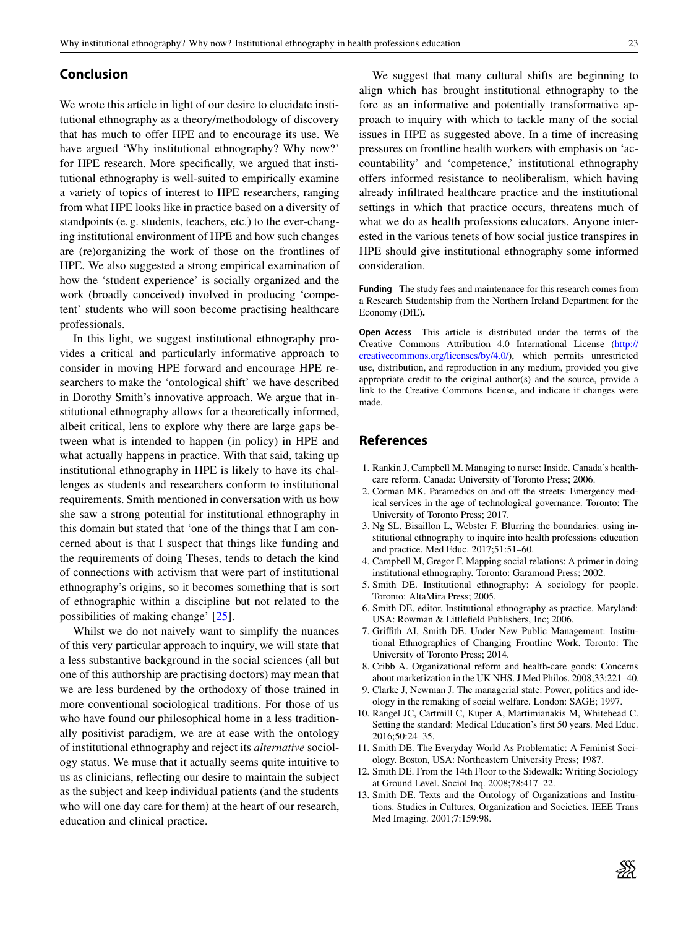#### **Conclusion**

We wrote this article in light of our desire to elucidate institutional ethnography as a theory/methodology of discovery that has much to offer HPE and to encourage its use. We have argued 'Why institutional ethnography? Why now?' for HPE research. More specifically, we argued that institutional ethnography is well-suited to empirically examine a variety of topics of interest to HPE researchers, ranging from what HPE looks like in practice based on a diversity of standpoints (e. g. students, teachers, etc.) to the ever-changing institutional environment of HPE and how such changes are (re)organizing the work of those on the frontlines of HPE. We also suggested a strong empirical examination of how the 'student experience' is socially organized and the work (broadly conceived) involved in producing 'competent' students who will soon become practising healthcare professionals.

In this light, we suggest institutional ethnography provides a critical and particularly informative approach to consider in moving HPE forward and encourage HPE researchers to make the 'ontological shift' we have described in Dorothy Smith's innovative approach. We argue that institutional ethnography allows for a theoretically informed, albeit critical, lens to explore why there are large gaps between what is intended to happen (in policy) in HPE and what actually happens in practice. With that said, taking up institutional ethnography in HPE is likely to have its challenges as students and researchers conform to institutional requirements. Smith mentioned in conversation with us how she saw a strong potential for institutional ethnography in this domain but stated that 'one of the things that I am concerned about is that I suspect that things like funding and the requirements of doing Theses, tends to detach the kind of connections with activism that were part of institutional ethnography's origins, so it becomes something that is sort of ethnographic within a discipline but not related to the possibilities of making change' [\[25\]](#page-8-9).

Whilst we do not naively want to simplify the nuances of this very particular approach to inquiry, we will state that a less substantive background in the social sciences (all but one of this authorship are practising doctors) may mean that we are less burdened by the orthodoxy of those trained in more conventional sociological traditions. For those of us who have found our philosophical home in a less traditionally positivist paradigm, we are at ease with the ontology of institutional ethnography and reject its *alternative* sociology status. We muse that it actually seems quite intuitive to us as clinicians, reflecting our desire to maintain the subject as the subject and keep individual patients (and the students who will one day care for them) at the heart of our research, education and clinical practice.

We suggest that many cultural shifts are beginning to align which has brought institutional ethnography to the fore as an informative and potentially transformative approach to inquiry with which to tackle many of the social issues in HPE as suggested above. In a time of increasing pressures on frontline health workers with emphasis on 'accountability' and 'competence,' institutional ethnography offers informed resistance to neoliberalism, which having already infiltrated healthcare practice and the institutional settings in which that practice occurs, threatens much of what we do as health professions educators. Anyone interested in the various tenets of how social justice transpires in HPE should give institutional ethnography some informed consideration.

**Funding** The study fees and maintenance for this research comes from a Research Studentship from the Northern Ireland Department for the Economy (DfE)**.**

**Open Access** This article is distributed under the terms of the Creative Commons Attribution 4.0 International License [\(http://](http://creativecommons.org/licenses/by/4.0/) [creativecommons.org/licenses/by/4.0/\)](http://creativecommons.org/licenses/by/4.0/), which permits unrestricted use, distribution, and reproduction in any medium, provided you give appropriate credit to the original author(s) and the source, provide a link to the Creative Commons license, and indicate if changes were made.

## <span id="page-7-0"></span>**References**

- <span id="page-7-1"></span>1. Rankin J, Campbell M. Managing to nurse: Inside. Canada's healthcare reform. Canada: University of Toronto Press; 2006.
- 2. Corman MK. Paramedics on and off the streets: Emergency medical services in the age of technological governance. Toronto: The University of Toronto Press; 2017.
- <span id="page-7-2"></span>3. Ng SL, Bisaillon L, Webster F. Blurring the boundaries: using institutional ethnography to inquire into health professions education and practice. Med Educ. 2017;51:51–60.
- <span id="page-7-4"></span><span id="page-7-3"></span>4. Campbell M, Gregor F. Mapping social relations: A primer in doing institutional ethnography. Toronto: Garamond Press; 2002.
- <span id="page-7-5"></span>5. Smith DE. Institutional ethnography: A sociology for people. Toronto: AltaMira Press; 2005.
- <span id="page-7-6"></span>6. Smith DE, editor. Institutional ethnography as practice. Maryland: USA: Rowman & Littlefield Publishers, Inc; 2006.
- 7. Griffith AI, Smith DE. Under New Public Management: Institutional Ethnographies of Changing Frontline Work. Toronto: The University of Toronto Press; 2014.
- <span id="page-7-9"></span><span id="page-7-8"></span>8. Cribb A. Organizational reform and health-care goods: Concerns about marketization in the UK NHS. J Med Philos. 2008;33:221–40.
- <span id="page-7-7"></span>9. Clarke J, Newman J. The managerial state: Power, politics and ideology in the remaking of social welfare. London: SAGE; 1997.
- 10. Rangel JC, Cartmill C, Kuper A, Martimianakis M, Whitehead C. Setting the standard: Medical Education's first 50 years. Med Educ. 2016;50:24–35.
- <span id="page-7-11"></span><span id="page-7-10"></span>11. Smith DE. The Everyday World As Problematic: A Feminist Sociology. Boston, USA: Northeastern University Press; 1987.
- <span id="page-7-12"></span>12. Smith DE. From the 14th Floor to the Sidewalk: Writing Sociology at Ground Level. Sociol Inq. 2008;78:417–22.
- 13. Smith DE. Texts and the Ontology of Organizations and Institutions. Studies in Cultures, Organization and Societies. IEEE Trans Med Imaging. 2001;7:159:98.